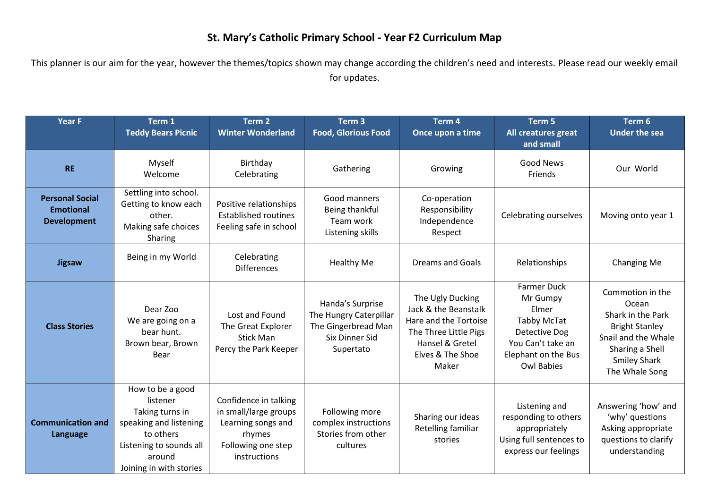## **St. Mary's Catholic Primary School - Year F2 Curriculum Map**

This planner is our aim for the year, however the themes/topics shown may change according the children's need and interests. Please read our weekly email for updates.

| <b>Year F</b>                                                    | Term 1<br><b>Teddy Bears Picnic</b>                                                                                                                    | Term <sub>2</sub><br><b>Winter Wonderland</b>                                                                        | Term <sub>3</sub><br><b>Food, Glorious Food</b>                                                  | Term <sub>4</sub><br>Once upon a time                                                                                                      | Term 5<br>All creatures great<br>and small                                                                                                      | Term 6<br><b>Under the sea</b>                                                                                                                             |
|------------------------------------------------------------------|--------------------------------------------------------------------------------------------------------------------------------------------------------|----------------------------------------------------------------------------------------------------------------------|--------------------------------------------------------------------------------------------------|--------------------------------------------------------------------------------------------------------------------------------------------|-------------------------------------------------------------------------------------------------------------------------------------------------|------------------------------------------------------------------------------------------------------------------------------------------------------------|
| <b>RE</b>                                                        | Myself<br>Welcome                                                                                                                                      | Birthday<br>Celebrating                                                                                              | Gathering                                                                                        | Growing                                                                                                                                    | <b>Good News</b><br>Friends                                                                                                                     | Our World                                                                                                                                                  |
| <b>Personal Social</b><br><b>Emotional</b><br><b>Development</b> | Settling into school.<br>Getting to know each<br>other.<br>Making safe choices<br>Sharing                                                              | Positive relationships<br><b>Established routines</b><br>Feeling safe in school                                      | Good manners<br>Being thankful<br>Team work<br>Listening skills                                  | Co-operation<br>Responsibility<br>Independence<br>Respect                                                                                  | Celebrating ourselves                                                                                                                           | Moving onto year 1                                                                                                                                         |
| <b>Jigsaw</b>                                                    | Being in my World                                                                                                                                      | Celebrating<br><b>Differences</b>                                                                                    | <b>Healthy Me</b>                                                                                | Dreams and Goals                                                                                                                           | Relationships                                                                                                                                   | Changing Me                                                                                                                                                |
| <b>Class Stories</b>                                             | Dear Zoo<br>We are going on a<br>bear hunt.<br>Brown bear, Brown<br>Bear                                                                               | Lost and Found<br>The Great Explorer<br><b>Stick Man</b><br>Percy the Park Keeper                                    | Handa's Surprise<br>The Hungry Caterpillar<br>The Gingerbread Man<br>Six Dinner Sid<br>Supertato | The Ugly Ducking<br>Jack & the Beanstalk<br>Hare and the Tortoise<br>The Three Little Pigs<br>Hansel & Gretel<br>Elves & The Shoe<br>Maker | <b>Farmer Duck</b><br>Mr Gumpy<br>Elmer<br><b>Tabby McTat</b><br>Detective Dog<br>You Can't take an<br>Elephant on the Bus<br><b>Owl Babies</b> | Commotion in the<br>Ocean<br>Shark in the Park<br><b>Bright Stanley</b><br>Snail and the Whale<br>Sharing a Shell<br><b>Smiley Shark</b><br>The Whale Song |
| <b>Communication and</b><br>Language                             | How to be a good<br>listener<br>Taking turns in<br>speaking and listening<br>to others<br>Listening to sounds all<br>around<br>Joining in with stories | Confidence in talking<br>in small/large groups<br>Learning songs and<br>rhymes<br>Following one step<br>instructions | Following more<br>complex instructions<br>Stories from other<br>cultures                         | Sharing our ideas<br>Retelling familiar<br>stories                                                                                         | Listening and<br>responding to others<br>appropriately<br>Using full sentences to<br>express our feelings                                       | Answering 'how' and<br>'why' questions<br>Asking appropriate<br>questions to clarify<br>understanding                                                      |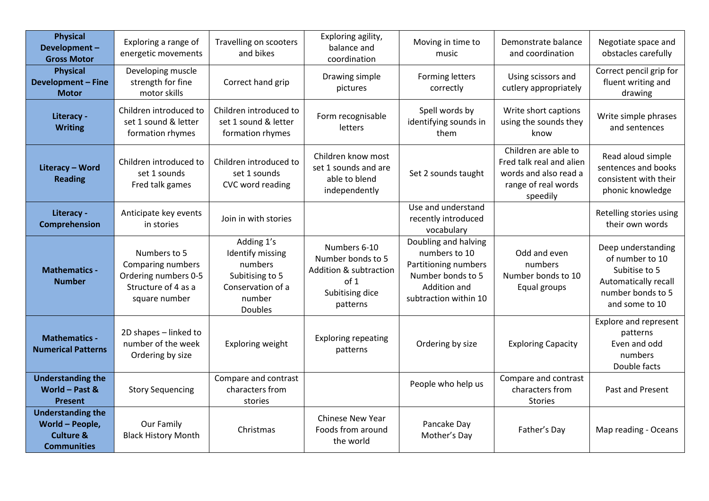| <b>Physical</b><br>Development-<br><b>Gross Motor</b>                          | Exploring a range of<br>energetic movements                                                       | Travelling on scooters<br>and bikes                                                                           | Exploring agility,<br>balance and<br>coordination                                                  | Moving in time to<br>music                                                                                                  | Demonstrate balance<br>and coordination                                                                      | Negotiate space and<br>obstacles carefully                                                                            |
|--------------------------------------------------------------------------------|---------------------------------------------------------------------------------------------------|---------------------------------------------------------------------------------------------------------------|----------------------------------------------------------------------------------------------------|-----------------------------------------------------------------------------------------------------------------------------|--------------------------------------------------------------------------------------------------------------|-----------------------------------------------------------------------------------------------------------------------|
| <b>Physical</b><br><b>Development - Fine</b><br><b>Motor</b>                   | Developing muscle<br>strength for fine<br>motor skills                                            | Correct hand grip                                                                                             | Drawing simple<br>pictures                                                                         | Forming letters<br>correctly                                                                                                | Using scissors and<br>cutlery appropriately                                                                  | Correct pencil grip for<br>fluent writing and<br>drawing                                                              |
| Literacy -<br><b>Writing</b>                                                   | Children introduced to<br>set 1 sound & letter<br>formation rhymes                                | Children introduced to<br>set 1 sound & letter<br>formation rhymes                                            | Form recognisable<br>letters                                                                       | Spell words by<br>identifying sounds in<br>them                                                                             | Write short captions<br>using the sounds they<br>know                                                        | Write simple phrases<br>and sentences                                                                                 |
| Literacy - Word<br><b>Reading</b>                                              | Children introduced to<br>set 1 sounds<br>Fred talk games                                         | Children introduced to<br>set 1 sounds<br>CVC word reading                                                    | Children know most<br>set 1 sounds and are<br>able to blend<br>independently                       | Set 2 sounds taught                                                                                                         | Children are able to<br>Fred talk real and alien<br>words and also read a<br>range of real words<br>speedily | Read aloud simple<br>sentences and books<br>consistent with their<br>phonic knowledge                                 |
| Literacy -<br>Comprehension                                                    | Anticipate key events<br>in stories                                                               | Join in with stories                                                                                          |                                                                                                    | Use and understand<br>recently introduced<br>vocabulary                                                                     |                                                                                                              | Retelling stories using<br>their own words                                                                            |
| <b>Mathematics -</b><br><b>Number</b>                                          | Numbers to 5<br>Comparing numbers<br>Ordering numbers 0-5<br>Structure of 4 as a<br>square number | Adding 1's<br>Identify missing<br>numbers<br>Subitising to 5<br>Conservation of a<br>number<br><b>Doubles</b> | Numbers 6-10<br>Number bonds to 5<br>Addition & subtraction<br>of 1<br>Subitising dice<br>patterns | Doubling and halving<br>numbers to 10<br>Partitioning numbers<br>Number bonds to 5<br>Addition and<br>subtraction within 10 | Odd and even<br>numbers<br>Number bonds to 10<br>Equal groups                                                | Deep understanding<br>of number to 10<br>Subitise to 5<br>Automatically recall<br>number bonds to 5<br>and some to 10 |
| <b>Mathematics -</b><br><b>Numerical Patterns</b>                              | 2D shapes - linked to<br>number of the week<br>Ordering by size                                   | Exploring weight                                                                                              | <b>Exploring repeating</b><br>patterns                                                             | Ordering by size                                                                                                            | <b>Exploring Capacity</b>                                                                                    | <b>Explore and represent</b><br>patterns<br>Even and odd<br>numbers<br>Double facts                                   |
| <b>Understanding the</b><br>World $-$ Past &<br><b>Present</b>                 | <b>Story Sequencing</b>                                                                           | Compare and contrast<br>characters from<br>stories                                                            |                                                                                                    | People who help us                                                                                                          | Compare and contrast<br>characters from<br><b>Stories</b>                                                    | Past and Present                                                                                                      |
| <b>Understanding the</b><br>World - People,<br>Culture &<br><b>Communities</b> | Our Family<br><b>Black History Month</b>                                                          | Christmas                                                                                                     | <b>Chinese New Year</b><br>Foods from around<br>the world                                          | Pancake Day<br>Mother's Day                                                                                                 | Father's Day                                                                                                 | Map reading - Oceans                                                                                                  |